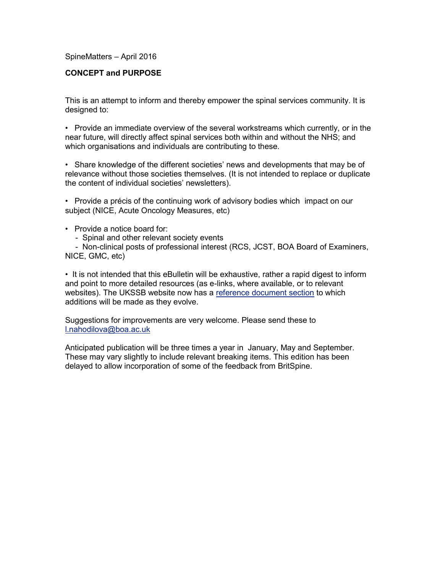#### SpineMatters – April 2016

## **CONCEPT and PURPOSE**

This is an attempt to inform and thereby empower the spinal services community. It is designed to:

• Provide an immediate overview of the several workstreams which currently, or in the near future, will directly affect spinal services both within and without the NHS; and which organisations and individuals are contributing to these.

• Share knowledge of the different societies' news and developments that may be of relevance without those societies themselves. (It is not intended to replace or duplicate the content of individual societies' newsletters).

• Provide a précis of the continuing work of advisory bodies which impact on our subject (NICE, Acute Oncology Measures, etc)

- Provide a notice board for:
	- Spinal and other relevant society events

- Non-clinical posts of professional interest (RCS, JCST, BOA Board of Examiners, NICE, GMC, etc)

• It is not intended that this eBulletin will be exhaustive, rather a rapid digest to inform and point to more detailed resources (as e-links, where available, or to relevant websites). The UKSSB website now has a [reference document section](http://www.ukssb.com/pages/Reference-Documents/Reference-Documents.html) to which additions will be made as they evolve.

Suggestions for improvements are very welcome. Please send these to [l.nahodilova@boa.ac.uk](mailto:l.nahodilova@boa.ac.uk)

Anticipated publication will be three times a year in January, May and September. These may vary slightly to include relevant breaking items. This edition has been delayed to allow incorporation of some of the feedback from BritSpine.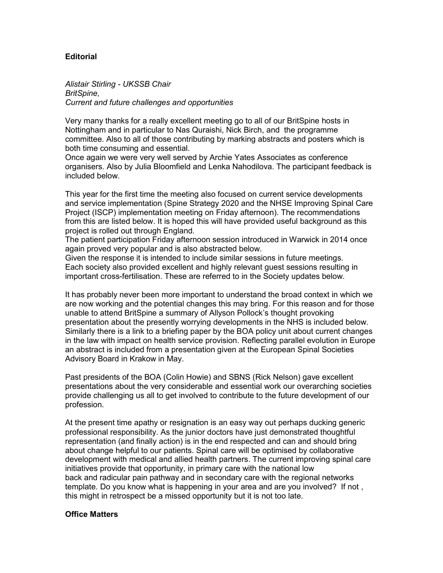## **Editorial**

*Alistair Stirling - UKSSB Chair BritSpine, Current and future challenges and opportunities* 

Very many thanks for a really excellent meeting go to all of our BritSpine hosts in Nottingham and in particular to Nas Quraishi, Nick Birch, and the programme committee. Also to all of those contributing by marking abstracts and posters which is both time consuming and essential.

Once again we were very well served by Archie Yates Associates as conference organisers. Also by Julia Bloomfield and Lenka Nahodilova. The participant feedback is included below.

This year for the first time the meeting also focused on current service developments and service implementation (Spine Strategy 2020 and the NHSE Improving Spinal Care Project (ISCP) implementation meeting on Friday afternoon). The recommendations from this are listed below. It is hoped this will have provided useful background as this project is rolled out through England.

The patient participation Friday afternoon session introduced in Warwick in 2014 once again proved very popular and is also abstracted below.

Given the response it is intended to include similar sessions in future meetings. Each society also provided excellent and highly relevant guest sessions resulting in important cross-fertilisation. These are referred to in the Society updates below.

It has probably never been more important to understand the broad context in which we are now working and the potential changes this may bring. For this reason and for those unable to attend BritSpine a summary of Allyson Pollock's thought provoking presentation about the presently worrying developments in the NHS is included below. Similarly there is a link to a briefing paper by the BOA policy unit about current changes in the law with impact on health service provision. Reflecting parallel evolution in Europe an abstract is included from a presentation given at the European Spinal Societies Advisory Board in Krakow in May.

Past presidents of the BOA (Colin Howie) and SBNS (Rick Nelson) gave excellent presentations about the very considerable and essential work our overarching societies provide challenging us all to get involved to contribute to the future development of our profession.

At the present time apathy or resignation is an easy way out perhaps ducking generic professional responsibility. As the junior doctors have just demonstrated thoughtful representation (and finally action) is in the end respected and can and should bring about change helpful to our patients. Spinal care will be optimised by collaborative development with medical and allied health partners. The current improving spinal care initiatives provide that opportunity, in primary care with the national low back and radicular pain pathway and in secondary care with the regional networks template. Do you know what is happening in your area and are you involved? If not , this might in retrospect be a missed opportunity but it is not too late.

#### **Office Matters**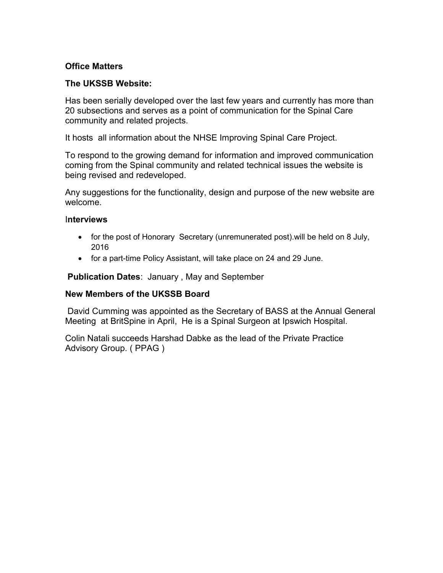# **Office Matters**

## **The UKSSB Website:**

Has been serially developed over the last few years and currently has more than 20 subsections and serves as a point of communication for the Spinal Care community and related projects.

It hosts all information about the NHSE Improving Spinal Care Project.

To respond to the growing demand for information and improved communication coming from the Spinal community and related technical issues the website is being revised and redeveloped.

Any suggestions for the functionality, design and purpose of the new website are welcome.

## I**nterviews**

- for the post of Honorary Secretary (unremunerated post). will be held on 8 July, 2016
- for a part-time Policy Assistant, will take place on 24 and 29 June.

**Publication Dates**: January , May and September

## **New Members of the UKSSB Board**

David Cumming was appointed as the Secretary of BASS at the Annual General Meeting at BritSpine in April, He is a Spinal Surgeon at Ipswich Hospital.

Colin Natali succeeds Harshad Dabke as the lead of the Private Practice Advisory Group. ( PPAG )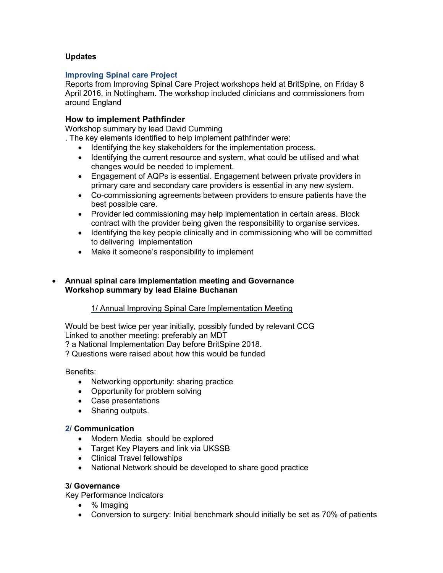## **Updates**

## **Improving Spinal care Project**

Reports from Improving Spinal Care Project workshops held at BritSpine, on Friday 8 April 2016, in Nottingham. The workshop included clinicians and commissioners from around England

## **How to implement Pathfinder**

Workshop summary by lead David Cumming

. The key elements identified to help implement pathfinder were:

- Identifying the key stakeholders for the implementation process.
- Identifying the current resource and system, what could be utilised and what changes would be needed to implement.
- Engagement of AQPs is essential. Engagement between private providers in primary care and secondary care providers is essential in any new system.
- Co-commissioning agreements between providers to ensure patients have the best possible care.
- Provider led commissioning may help implementation in certain areas. Block contract with the provider being given the responsibility to organise services.
- Identifying the key people clinically and in commissioning who will be committed to delivering implementation
- Make it someone's responsibility to implement

## **Annual spinal care implementation meeting and Governance Workshop summary by lead Elaine Buchanan**

## 1/ Annual Improving Spinal Care Implementation Meeting

Would be best twice per year initially, possibly funded by relevant CCG Linked to another meeting: preferably an MDT ? a National Implementation Day before BritSpine 2018.

? Questions were raised about how this would be funded

Benefits:

- Networking opportunity: sharing practice
- Opportunity for problem solving
- Case presentations
- Sharing outputs.

## **2/ Communication**

- Modern Media should be explored
- Target Key Players and link via UKSSB
- Clinical Travel fellowships
- National Network should be developed to share good practice

## **3/ Governance**

Key Performance Indicators

- % Imaging
- Conversion to surgery: Initial benchmark should initially be set as 70% of patients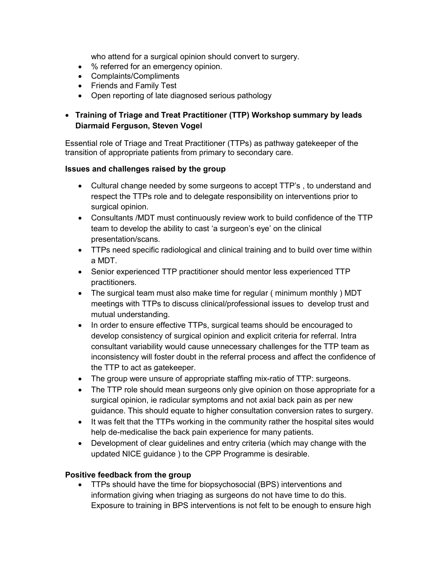who attend for a surgical opinion should convert to surgery.

- % referred for an emergency opinion.
- Complaints/Compliments
- Friends and Family Test
- Open reporting of late diagnosed serious pathology

# **Training of Triage and Treat Practitioner (TTP) Workshop summary by leads Diarmaid Ferguson, Steven Vogel**

Essential role of Triage and Treat Practitioner (TTPs) as pathway gatekeeper of the transition of appropriate patients from primary to secondary care.

## **Issues and challenges raised by the group**

- Cultural change needed by some surgeons to accept TTP's , to understand and respect the TTPs role and to delegate responsibility on interventions prior to surgical opinion.
- Consultants /MDT must continuously review work to build confidence of the TTP team to develop the ability to cast 'a surgeon's eye' on the clinical presentation/scans.
- TTPs need specific radiological and clinical training and to build over time within a MDT.
- Senior experienced TTP practitioner should mentor less experienced TTP practitioners.
- The surgical team must also make time for regular ( minimum monthly ) MDT meetings with TTPs to discuss clinical/professional issues to develop trust and mutual understanding.
- In order to ensure effective TTPs, surgical teams should be encouraged to develop consistency of surgical opinion and explicit criteria for referral. Intra consultant variability would cause unnecessary challenges for the TTP team as inconsistency will foster doubt in the referral process and affect the confidence of the TTP to act as gatekeeper.
- The group were unsure of appropriate staffing mix-ratio of TTP: surgeons.
- The TTP role should mean surgeons only give opinion on those appropriate for a surgical opinion, ie radicular symptoms and not axial back pain as per new guidance. This should equate to higher consultation conversion rates to surgery.
- It was felt that the TTPs working in the community rather the hospital sites would help de-medicalise the back pain experience for many patients.
- Development of clear guidelines and entry criteria (which may change with the updated NICE guidance ) to the CPP Programme is desirable.

## **Positive feedback from the group**

• TTPs should have the time for biopsychosocial (BPS) interventions and information giving when triaging as surgeons do not have time to do this. Exposure to training in BPS interventions is not felt to be enough to ensure high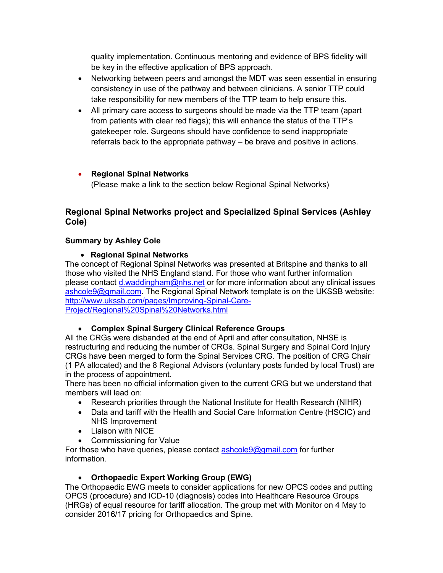quality implementation. Continuous mentoring and evidence of BPS fidelity will be key in the effective application of BPS approach.

- Networking between peers and amongst the MDT was seen essential in ensuring consistency in use of the pathway and between clinicians. A senior TTP could take responsibility for new members of the TTP team to help ensure this.
- All primary care access to surgeons should be made via the TTP team (apart from patients with clear red flags); this will enhance the status of the TTP's gatekeeper role. Surgeons should have confidence to send inappropriate referrals back to the appropriate pathway – be brave and positive in actions.

# **Regional Spinal Networks**

(Please make a link to the section below Regional Spinal Networks)

# **Regional Spinal Networks project and Specialized Spinal Services (Ashley Cole)**

# **Summary by Ashley Cole**

# **Regional Spinal Networks**

The concept of Regional Spinal Networks was presented at Britspine and thanks to all those who visited the NHS England stand. For those who want further information please contact [d.waddingham@nhs.net](mailto:d.waddingham@nhs.net) or for more information about any clinical issues [ashcole9@gmail.com.](mailto:ashcole9@gmail.com) The Regional Spinal Network template is on the UKSSB website: [http://www.ukssb.com/pages/Improving-Spinal-Care-](http://www.ukssb.com/pages/Improving-Spinal-Care-Project/Regional%20Spinal%20Networks.html)[Project/Regional%20Spinal%20Networks.html](http://www.ukssb.com/pages/Improving-Spinal-Care-Project/Regional%20Spinal%20Networks.html)

# **Complex Spinal Surgery Clinical Reference Groups**

All the CRGs were disbanded at the end of April and after consultation, NHSE is restructuring and reducing the number of CRGs. Spinal Surgery and Spinal Cord Injury CRGs have been merged to form the Spinal Services CRG. The position of CRG Chair (1 PA allocated) and the 8 Regional Advisors (voluntary posts funded by local Trust) are in the process of appointment.

There has been no official information given to the current CRG but we understand that members will lead on:

- Research priorities through the National Institute for Health Research (NIHR)
- Data and tariff with the Health and Social Care Information Centre (HSCIC) and NHS Improvement
- Liaison with NICE
- Commissioning for Value

For those who have queries, please contact **ashcole9@gmail.com** for further information.

# **Orthopaedic Expert Working Group (EWG)**

The Orthopaedic EWG meets to consider applications for new OPCS codes and putting OPCS (procedure) and ICD-10 (diagnosis) codes into Healthcare Resource Groups (HRGs) of equal resource for tariff allocation. The group met with Monitor on 4 May to consider 2016/17 pricing for Orthopaedics and Spine.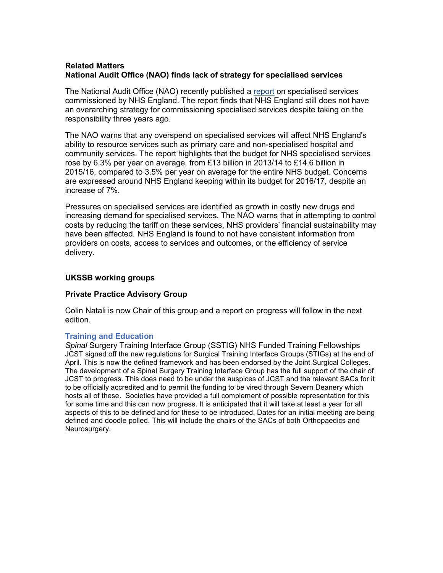## **Related Matters National Audit Office (NAO) finds lack of strategy for specialised services**

The National Audit Office (NAO) recently published a [report](http://ecomms.rcseng.ac.uk/linkapp/cmaStart.aspx?LinkID=pageid100829516znqqh~njrhtfnf~njz9h~nqxfjr~z~f~f~f~n) on specialised services commissioned by NHS England. The report finds that NHS England still does not have an overarching strategy for commissioning specialised services despite taking on the responsibility three years ago.

The NAO warns that any overspend on specialised services will affect NHS England's ability to resource services such as primary care and non-specialised hospital and community services. The report highlights that the budget for NHS specialised services rose by 6.3% per year on average, from £13 billion in 2013/14 to £14.6 billion in 2015/16, compared to 3.5% per year on average for the entire NHS budget. Concerns are expressed around NHS England keeping within its budget for 2016/17, despite an increase of 7%.

Pressures on specialised services are identified as growth in costly new drugs and increasing demand for specialised services. The NAO warns that in attempting to control costs by reducing the tariff on these services, NHS providers' financial sustainability may have been affected. NHS England is found to not have consistent information from providers on costs, access to services and outcomes, or the efficiency of service delivery.

## **UKSSB working groups**

## **Private Practice Advisory Group**

Colin Natali is now Chair of this group and a report on progress will follow in the next edition.

## **Training and Education**

*Spinal* Surgery Training Interface Group (SSTIG) NHS Funded Training Fellowships JCST signed off the new regulations for Surgical Training Interface Groups (STIGs) at the end of April. This is now the defined framework and has been endorsed by the Joint Surgical Colleges. The development of a Spinal Surgery Training Interface Group has the full support of the chair of JCST to progress. This does need to be under the auspices of JCST and the relevant SACs for it to be officially accredited and to permit the funding to be vired through Severn Deanery which hosts all of these. Societies have provided a full complement of possible representation for this for some time and this can now progress. It is anticipated that it will take at least a year for all aspects of this to be defined and for these to be introduced. Dates for an initial meeting are being defined and doodle polled. This will include the chairs of the SACs of both Orthopaedics and Neurosurgery.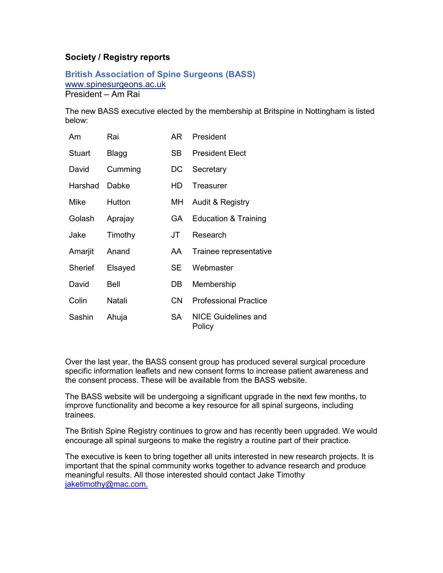# **Society / Registry reports**

**British Association of Spine Surgeons (BASS)**  [www.spinesurgeons.ac.uk](http://www.spinesurgeons.ac.uk/) President – Am Rai

The new BASS executive elected by the membership at Britspine in Nottingham is listed below:

| Am      | Rai     | AR. | President                     |
|---------|---------|-----|-------------------------------|
| Stuart  | Blagg   | SB. | <b>President Elect</b>        |
| David   | Cumming | DC  | Secretary                     |
| Harshad | Dabke   | HD  | Treasurer                     |
| Mike    | Hutton  | MН  | Audit & Registry              |
| Golash  | Aprajay | GA. | Education & Training          |
| Jake    | Timothy | JT. | Research                      |
| Amarjit | Anand   | AA. | Trainee representative        |
| Sherief | Elsayed | SE. | Webmaster                     |
| David   | Bell    | DB  | Membership                    |
| Colin   | Natali  | CN  | <b>Professional Practice</b>  |
| Sashin  | Ahuja   | SA. | NICE Guidelines and<br>Policy |

Over the last year, the BASS consent group has produced several surgical procedure specific information leaflets and new consent forms to increase patient awareness and the consent process. These will be available from the BASS website.

The BASS website will be undergoing a significant upgrade in the next few months, to improve functionality and become a key resource for all spinal surgeons, including trainees.

The British Spine Registry continues to grow and has recently been upgraded. We would encourage all spinal surgeons to make the registry a routine part of their practice.

The executive is keen to bring together all units interested in new research projects. It is important that the spinal community works together to advance research and produce meaningful results. All those interested should contact Jake Timothy [jaketimothy@mac.com.](mailto:jaketimothy@mac.com)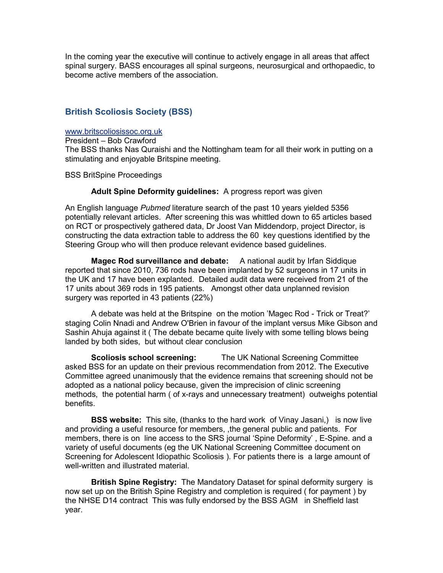In the coming year the executive will continue to actively engage in all areas that affect spinal surgery. BASS encourages all spinal surgeons, neurosurgical and orthopaedic, to become active members of the association.

## **British Scoliosis Society (BSS)**

#### [www.britscoliosissoc.org.uk](http://www.britscoliosissoc.org.uk/)

President – Bob Crawford The BSS thanks Nas Quraishi and the Nottingham team for all their work in putting on a stimulating and enjoyable Britspine meeting.

BSS BritSpine Proceedings

#### **Adult Spine Deformity guidelines:** A progress report was given

An English language *Pubmed* literature search of the past 10 years yielded 5356 potentially relevant articles. After screening this was whittled down to 65 articles based on RCT or prospectively gathered data, Dr Joost Van Middendorp, project Director, is constructing the data extraction table to address the 60 key questions identified by the Steering Group who will then produce relevant evidence based guidelines.

**Magec Rod surveillance and debate:** A national audit by Irfan Siddique reported that since 2010, 736 rods have been implanted by 52 surgeons in 17 units in the UK and 17 have been explanted. Detailed audit data were received from 21 of the 17 units about 369 rods in 195 patients. Amongst other data unplanned revision surgery was reported in 43 patients (22%)

A debate was held at the Britspine on the motion 'Magec Rod - Trick or Treat?' staging Colin Nnadi and Andrew O'Brien in favour of the implant versus Mike Gibson and Sashin Ahuja against it ( The debate became quite lively with some telling blows being landed by both sides, but without clear conclusion

**Scoliosis school screening:** The UK National Screening Committee asked BSS for an update on their previous recommendation from 2012. The Executive Committee agreed unanimously that the evidence remains that screening should not be adopted as a national policy because, given the imprecision of clinic screening methods, the potential harm ( of x-rays and unnecessary treatment) outweighs potential benefits.

**BSS website:** This site, (thanks to the hard work of Vinay Jasani,) is now live and providing a useful resource for members, ,the general public and patients. For members, there is on line access to the SRS journal 'Spine Deformity' , E-Spine. and a variety of useful documents (eg the UK National Screening Committee document on Screening for Adolescent Idiopathic Scoliosis ). For patients there is a large amount of well-written and illustrated material.

**British Spine Registry:** The Mandatory Dataset for spinal deformity surgery is now set up on the British Spine Registry and completion is required ( for payment ) by the NHSE D14 contract This was fully endorsed by the BSS AGM in Sheffield last year.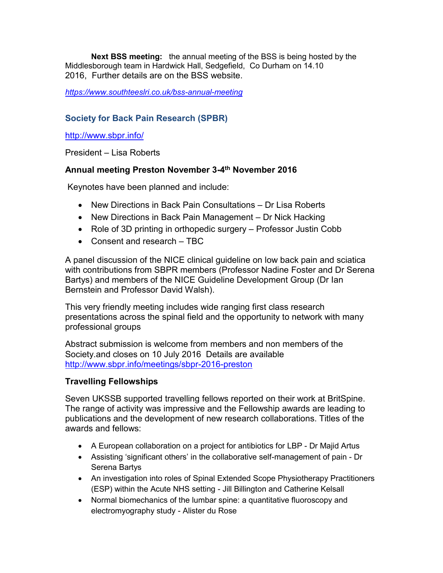**Next BSS meeting:** the annual meeting of the BSS is being hosted by the Middlesborough team in Hardwick Hall, Sedgefield, Co Durham on 14.10 2016, Further details are on the BSS website.

*<https://www.southteeslri.co.uk/bss-annual-meeting>*

# **Society for Back Pain Research (SPBR)**

<http://www.sbpr.info/>

President – Lisa Roberts

# **Annual meeting Preston November 3-4 th November 2016**

Keynotes have been planned and include:

- New Directions in Back Pain Consultations Dr Lisa Roberts
- New Directions in Back Pain Management Dr Nick Hacking
- Role of 3D printing in orthopedic surgery Professor Justin Cobb
- Consent and research TBC

A panel discussion of the NICE clinical guideline on low back pain and sciatica with contributions from SBPR members (Professor Nadine Foster and Dr Serena Bartys) and members of the NICE Guideline Development Group (Dr Ian Bernstein and Professor David Walsh).

This very friendly meeting includes wide ranging first class research presentations across the spinal field and the opportunity to network with many professional groups

Abstract submission is welcome from members and non members of the Society.and closes on 10 July 2016 Details are available <http://www.sbpr.info/meetings/sbpr-2016-preston>

# **Travelling Fellowships**

Seven UKSSB supported travelling fellows reported on their work at BritSpine. The range of activity was impressive and the Fellowship awards are leading to publications and the development of new research collaborations. Titles of the awards and fellows:

- A European collaboration on a project for antibiotics for LBP Dr Majid Artus
- Assisting 'significant others' in the collaborative self-management of pain Dr Serena Bartys
- An investigation into roles of Spinal Extended Scope Physiotherapy Practitioners (ESP) within the Acute NHS setting - Jill Billington and Catherine Kelsall
- Normal biomechanics of the lumbar spine: a quantitative fluoroscopy and electromyography study - Alister du Rose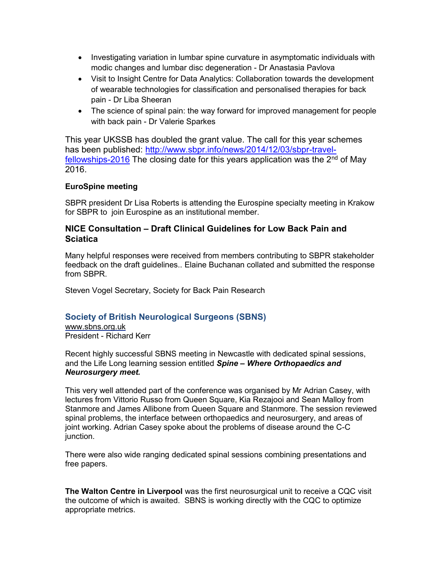- Investigating variation in lumbar spine curvature in asymptomatic individuals with modic changes and lumbar disc degeneration - Dr Anastasia Pavlova
- Visit to Insight Centre for Data Analytics: Collaboration towards the development of wearable technologies for classification and personalised therapies for back pain - Dr Liba Sheeran
- The science of spinal pain: the way forward for improved management for people with back pain - Dr Valerie Sparkes

This year UKSSB has doubled the grant value. The call for this year schemes has been published: [http://www.sbpr.info/news/2014/12/03/sbpr-travel](http://www.sbpr.info/news/2014/12/03/sbpr-travel-fellowships-2016)[fellowships-2016](http://www.sbpr.info/news/2014/12/03/sbpr-travel-fellowships-2016) The closing date for this years application was the  $2<sup>nd</sup>$  of May 2016.

## **EuroSpine meeting**

SBPR president Dr Lisa Roberts is attending the Eurospine specialty meeting in Krakow for SBPR to join Eurospine as an institutional member.

## **NICE Consultation – Draft Clinical Guidelines for Low Back Pain and Sciatica**

Many helpful responses were received from members contributing to SBPR stakeholder feedback on the draft guidelines.. Elaine Buchanan collated and submitted the response from SBPR.

Steven Vogel Secretary, Society for Back Pain Research

# **Society of British Neurological Surgeons (SBNS)**

[www.sbns.org.uk](http://www.sbns.org.uk/) President - Richard Kerr

Recent highly successful SBNS meeting in Newcastle with dedicated spinal sessions, and the Life Long learning session entitled *Spine – Where Orthopaedics and Neurosurgery meet.*

This very well attended part of the conference was organised by Mr Adrian Casey, with lectures from Vittorio Russo from Queen Square, Kia Rezajooi and Sean Malloy from Stanmore and James Allibone from Queen Square and Stanmore. The session reviewed spinal problems, the interface between orthopaedics and neurosurgery, and areas of joint working. Adrian Casey spoke about the problems of disease around the C-C junction.

There were also wide ranging dedicated spinal sessions combining presentations and free papers.

**The Walton Centre in Liverpool** was the first neurosurgical unit to receive a CQC visit the outcome of which is awaited. SBNS is working directly with the CQC to optimize appropriate metrics.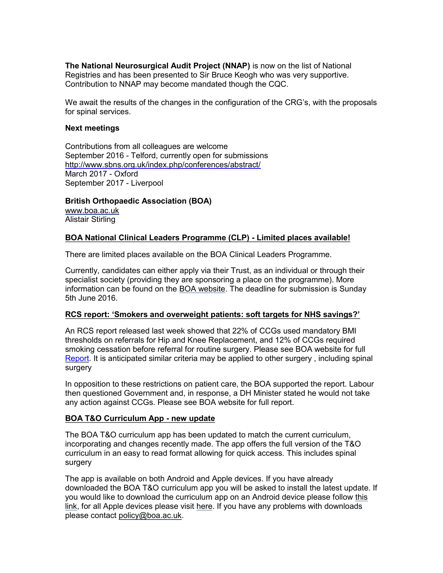**The National Neurosurgical Audit Project (NNAP)** is now on the list of National Registries and has been presented to Sir Bruce Keogh who was very supportive. Contribution to NNAP may become mandated though the CQC.

We await the results of the changes in the configuration of the CRG's, with the proposals for spinal services.

#### **Next meetings**

Contributions from all colleagues are welcome September 2016 - Telford, currently open for submissions <http://www.sbns.org.uk/index.php/conferences/abstract/> March 2017 - Oxford September 2017 - Liverpool

**British Orthopaedic Association (BOA)** [www.boa.ac.uk](http://www.boa.ac.uk/) Alistair Stirling

#### **BOA National Clinical Leaders Programme (CLP) - Limited places available!**

There are limited places available on the BOA Clinical Leaders Programme.

Currently, candidates can either apply via their Trust, as an individual or through their specialist society (providing they are sponsoring a place on the programme). More information can be found on the [BOA website.](http://boa.us4.list-manage.com/track/click?u=2242b78af1af1962af0ac2da8&id=c89910e136&e=de0509896c) The deadline for submission is Sunday 5th June 2016.

#### **RCS report: 'Smokers and overweight patients: soft targets for NHS savings?'**

An RCS report released last week showed that 22% of CCGs used mandatory BMI thresholds on referrals for Hip and Knee Replacement, and 12% of CCGs required smoking cessation before referral for routine surgery. Please see BOA website for full [Report.](http://www.boa.ac.uk/latest-news/rcs-report-smokers-and-overweight-patients-soft-targets-for-nhs-savings/) It is anticipated similar criteria may be applied to other surgery , including spinal surgery

In opposition to these restrictions on patient care, the BOA supported the report. Labour then questioned Government and, in response, a DH Minister stated he would not take any action against CCGs. Please see BOA website for full report.

#### **BOA T&O Curriculum App - new update**

The BOA T&O curriculum app has been updated to match the current curriculum, incorporating and changes recently made. The app offers the full version of the T&O curriculum in an easy to read format allowing for quick access. This includes spinal surgery

The app is available on both Android and Apple devices. If you have already downloaded the BOA T&O curriculum app you will be asked to install the latest update. If you would like to download the curriculum app on an Android device please follow [this](http://boa.us4.list-manage.com/track/click?u=2242b78af1af1962af0ac2da8&id=31f0471cf6&e=de0509896c)  [link,](http://boa.us4.list-manage.com/track/click?u=2242b78af1af1962af0ac2da8&id=31f0471cf6&e=de0509896c) for all Apple devices please visit [here.](http://boa.us4.list-manage.com/track/click?u=2242b78af1af1962af0ac2da8&id=1809e260bc&e=de0509896c) If you have any problems with downloads please contact [policy@boa.ac.uk.](mailto:policy@boa.ac.uk)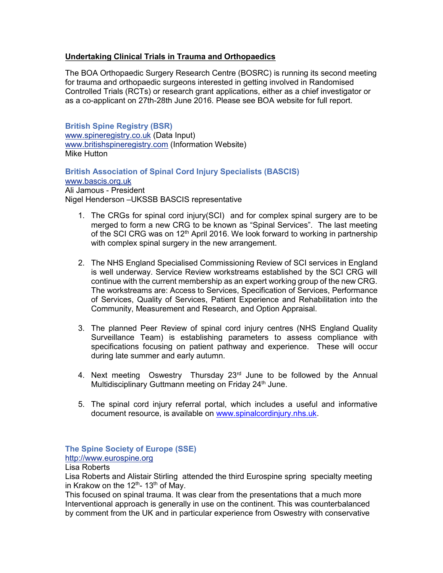## **Undertaking Clinical Trials in Trauma and Orthopaedics**

The BOA Orthopaedic Surgery Research Centre (BOSRC) is running its second meeting for trauma and orthopaedic surgeons interested in getting involved in Randomised Controlled Trials (RCTs) or research grant applications, either as a chief investigator or as a co-applicant on 27th-28th June 2016. Please see BOA website for full report.

**British Spine Registry (BSR)** [www.spineregistry.co.uk](http://www.spineregistry.co.uk/) (Data Input) [www.britishspineregistry.com](http://www.britishspineregistry.com/) (Information Website) Mike Hutton

**British Association of Spinal Cord Injury Specialists (BASCIS)** [www.bascis.org.uk](http://www.bascis.org.uk/) Ali Jamous - President Nigel Henderson –UKSSB BASCIS representative

- 1. The CRGs for spinal cord injury(SCI) and for complex spinal surgery are to be merged to form a new CRG to be known as "Spinal Services". The last meeting of the SCI CRG was on  $12<sup>th</sup>$  April 2016. We look forward to working in partnership with complex spinal surgery in the new arrangement.
- 2. The NHS England Specialised Commissioning Review of SCI services in England is well underway. Service Review workstreams established by the SCI CRG will continue with the current membership as an expert working group of the new CRG. The workstreams are: Access to Services, Specification of Services, Performance of Services, Quality of Services, Patient Experience and Rehabilitation into the Community, Measurement and Research, and Option Appraisal.
- 3. The planned Peer Review of spinal cord injury centres (NHS England Quality Surveillance Team) is establishing parameters to assess compliance with specifications focusing on patient pathway and experience. These will occur during late summer and early autumn.
- 4. Next meeting Oswestry Thursday 23<sup>rd</sup> June to be followed by the Annual Multidisciplinary Guttmann meeting on Friday 24<sup>th</sup> June.
- 5. The spinal cord injury referral portal, which includes a useful and informative document resource, is available on [www.spinalcordinjury.nhs.uk.](http://www.spinalcordinjury.nhs.uk/)

**The Spine Society of Europe (SSE)**

[http://www.eurospine.org](http://www.eurospine.org/)

Lisa Roberts

Lisa Roberts and Alistair Stirling attended the third Eurospine spring specialty meeting in Krakow on the 12<sup>th</sup>- 13<sup>th</sup> of May.

This focused on spinal trauma. It was clear from the presentations that a much more Interventional approach is generally in use on the continent. This was counterbalanced by comment from the UK and in particular experience from Oswestry with conservative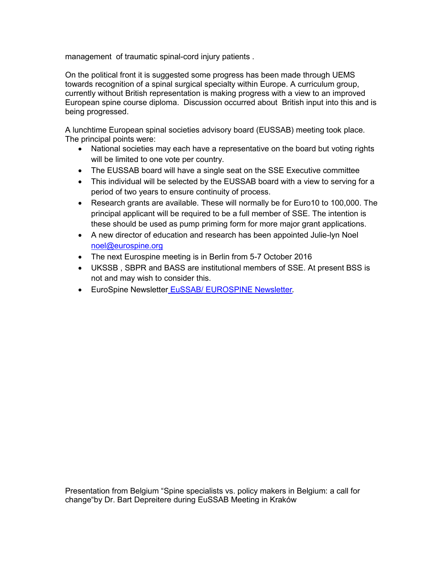management of traumatic spinal-cord injury patients .

On the political front it is suggested some progress has been made through UEMS towards recognition of a spinal surgical specialty within Europe. A curriculum group, currently without British representation is making progress with a view to an improved European spine course diploma. Discussion occurred about British input into this and is being progressed.

A lunchtime European spinal societies advisory board (EUSSAB) meeting took place. The principal points were:

- National societies may each have a representative on the board but voting rights will be limited to one vote per country.
- The EUSSAB board will have a single seat on the SSE Executive committee
- This individual will be selected by the EUSSAB board with a view to serving for a period of two years to ensure continuity of process.
- Research grants are available. These will normally be for Euro10 to 100,000. The principal applicant will be required to be a full member of SSE. The intention is these should be used as pump priming form for more major grant applications.
- A new director of education and research has been appointed Julie-lyn Noel [noel@eurospine.org](mailto:noel@eurospine.org)
- The next Eurospine meeting is in Berlin from 5-7 October 2016
- UKSSB , SBPR and BASS are institutional members of SSE. At present BSS is not and may wish to consider this.
- **EuroSpine Newsletter [EuSSAB/ EUROSPINE Newsletter](http://newsletter.eurospine.org/m/10272641/404377-802f09bb6d23f602eaddffaaf668e3f9).**

Presentation from Belgium "Spine specialists vs. policy makers in Belgium: a call for change"by Dr. Bart Depreitere during EuSSAB Meeting in Kraków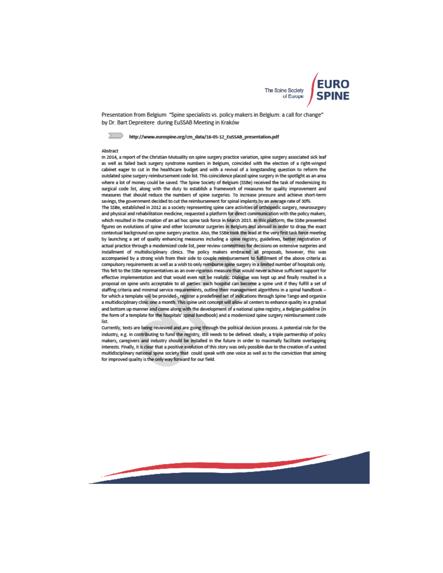

Presentation from Belgium "Spine specialists vs. policy makers in Belgium: a call for change" by Dr. Bart Depreitere during EuSSAB Meeting in Kraków

#### http://www.eurospine.org/cm\_data/16-05-12\_EuSSAB\_presentation.pdf

#### Abstract

In 2014, a report of the Christian Mutuality on spine surgery practice variation, spine surgery associated sick leaf as well as failed back surgery syndrome numbers in Belgium, coincided with the election of a right-winged cabinet eager to cut in the healthcare budget and with a revival of a longstanding question to reform the outdated spine surgery reimbursement code list. This coincidence placed spine surgery in the spotlight as an area where a lot of money could be saved. The Spine Society of Belgium (SSBe) received the task of modernizing its surgical code list, along with the duty to establish a framework of measures for quality improvement and measures that should reduce the numbers of spine surgeries. To increase pressure and achieve short-term savings, the government decided to cut the reimbursement for spinal implants by an average rate of 30%.

The SSBe, established in 2012 as a society representing spine care activities of orthopedic surgery, neurosurgery and physical and rehabilitation medicine, requested a platform for direct communication with the policy makers, which resulted in the creation of an ad hoc spine task force in March 2015. In this platform, the SSBe presented figures on evolutions of spine and other locomotor surgeries in Belgium and abroad in order to draw the exact contextual background on spine surgery practice. Also, the SSBe took the lead at the very first task force meeting by launching a set of quality enhancing measures including a spine registry, guidelines, better registration of actual practice through a modernized code list, peer review committees for decisions on extensive surgeries and installment of multidisciplinary clinics. The policy makers embraced all proposals, however, this was accompanied by a strong wish from their side to couple reimbursement to fulfillment of the above criteria as compulsory requirements as well as a wish to only reimburse spine surgery in a limited number of hospitals only. This felt to the SSBe representatives as an over-rigorous measure that would never achieve sufficient support for effective implementation and that would even not be realistic. Dialogue was kept up and finally resulted in a proposal on spine units acceptable to all parties: each hospital can become a spine unit if they fulfill a set of staffing criteria and minimal service requirements, outline their management algorithms in a spinal handbook for which a template will be provided-, register a predefined set of indications through Spine Tango and organize a multidisciplinary clinic one a month. This spine unit concept will allow all centers to enhance quality in a gradual and bottom up manner and come along with the development of a national spine registry, a Belgian guideline (in the form of a template for the hospitals' spinal handbook) and a modernized spine surgery reimbursement code list.

Currently, texts are being reviewed and are going through the political decision process. A potential role for the industry, e.g. in contributing to fund the registry, still needs to be defined. Ideally, a triple partnership of policy makers, caregivers and industry should be installed in the future in order to maximally facilitate overlapping interests. Finally, it is clear that a positive evolution of this story was only possible due to the creation of a united multidisciplinary national spine society that could speak with one voice as well as to the conviction that aiming for improved quality is the only way forward for our field.

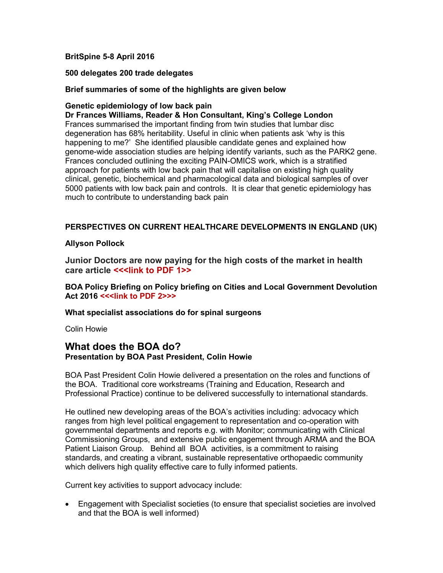## **BritSpine 5-8 April 2016**

#### **500 delegates 200 trade delegates**

## **Brief summaries of some of the highlights are given below**

## **Genetic epidemiology of low back pain**

**Dr Frances Williams, Reader & Hon Consultant, King's College London** Frances summarised the important finding from twin studies that lumbar disc degeneration has 68% heritability. Useful in clinic when patients ask 'why is this happening to me?' She identified plausible candidate genes and explained how genome-wide association studies are helping identify variants, such as the PARK2 gene. Frances concluded outlining the exciting PAIN-OMICS work, which is a stratified approach for patients with low back pain that will capitalise on existing high quality clinical, genetic, biochemical and pharmacological data and biological samples of over 5000 patients with low back pain and controls. It is clear that genetic epidemiology has much to contribute to understanding back pain

## **PERSPECTIVES ON CURRENT HEALTHCARE DEVELOPMENTS IN ENGLAND (UK)**

## **Allyson Pollock**

**Junior Doctors are now paying for the high costs of the market in health**  care article <<< link to PDF 1>>

**BOA Policy Briefing on Policy briefing on Cities and Local Government Devolution Act 2016 <<<link to PDF 2>>>**

**What specialist associations do for spinal surgeons** 

Colin Howie

# **What does the BOA do? Presentation by BOA Past President, Colin Howie**

BOA Past President Colin Howie delivered a presentation on the roles and functions of the BOA. Traditional core workstreams (Training and Education, Research and Professional Practice) continue to be delivered successfully to international standards.

He outlined new developing areas of the BOA's activities including: advocacy which ranges from high level political engagement to representation and co-operation with governmental departments and reports e.g. with Monitor; communicating with Clinical Commissioning Groups, and extensive public engagement through ARMA and the BOA Patient Liaison Group. Behind all BOA activities, is a commitment to raising standards, and creating a vibrant, sustainable representative orthopaedic community which delivers high quality effective care to fully informed patients.

Current key activities to support advocacy include:

 Engagement with Specialist societies (to ensure that specialist societies are involved and that the BOA is well informed)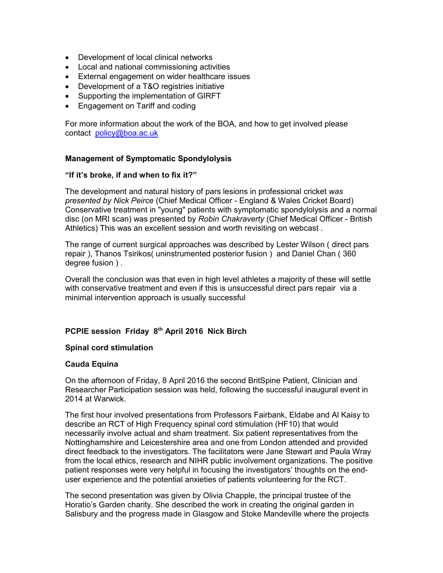- Development of local clinical networks
- Local and national commissioning activities
- External engagement on wider healthcare issues
- Development of a T&O registries initiative
- Supporting the implementation of GIRFT
- Engagement on Tariff and coding

For more information about the work of the BOA, and how to get involved please contact [policy@boa.ac.uk](mailto:policy@boa.ac.uk)

## **Management of Symptomatic Spondylolysis**

#### **"If it's broke, if and when to fix it?"**

The development and natural history of pars lesions in professional cricket *was presented by Nick Peirce* (Chief Medical Officer - England & Wales Cricket Board) Conservative treatment in "young" patients with symptomatic spondylolysis and a normal disc (on MRI scan) was presented by *Robin Chakraverty* (Chief Medical Officer - British Athletics) This was an excellent session and worth revisiting on webcast .

The range of current surgical approaches was described by Lester Wilson ( direct pars repair ), Thanos Tsirikos( uninstrumented posterior fusion ) and Daniel Chan ( 360 degree fusion ) .

Overall the conclusion was that even in high level athletes a majority of these will settle with conservative treatment and even if this is unsuccessful direct pars repair via a minimal intervention approach is usually successful

## **PCPIE session Friday 8th April 2016 Nick Birch**

#### **Spinal cord stimulation**

#### **Cauda Equina**

On the afternoon of Friday, 8 April 2016 the second BritSpine Patient, Clinician and Researcher Participation session was held, following the successful inaugural event in 2014 at Warwick.

The first hour involved presentations from Professors Fairbank, Eldabe and Al Kaisy to describe an RCT of High Frequency spinal cord stimulation (HF10) that would necessarily involve actual and sham treatment. Six patient representatives from the Nottinghamshire and Leicestershire area and one from London attended and provided direct feedback to the investigators. The facilitators were Jane Stewart and Paula Wray from the local ethics, research and NIHR public involvement organizations. The positive patient responses were very helpful in focusing the investigators' thoughts on the enduser experience and the potential anxieties of patients volunteering for the RCT.

The second presentation was given by Olivia Chapple, the principal trustee of the Horatio's Garden charity. She described the work in creating the original garden in Salisbury and the progress made in Glasgow and Stoke Mandeville where the projects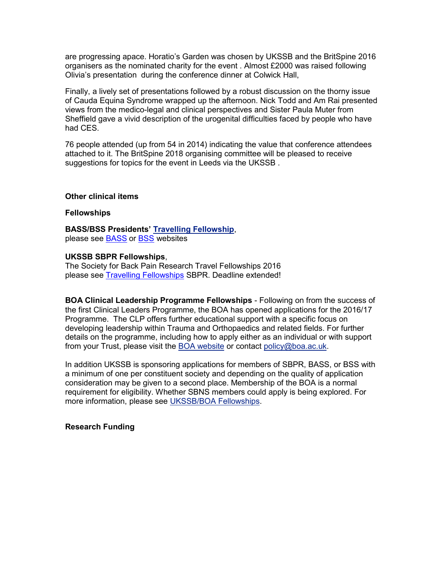are progressing apace. Horatio's Garden was chosen by UKSSB and the BritSpine 2016 organisers as the nominated charity for the event . Almost £2000 was raised following Olivia's presentation during the conference dinner at Colwick Hall,

Finally, a lively set of presentations followed by a robust discussion on the thorny issue of Cauda Equina Syndrome wrapped up the afternoon. Nick Todd and Am Rai presented views from the medico-legal and clinical perspectives and Sister Paula Muter from Sheffield gave a vivid description of the urogenital difficulties faced by people who have had CES.

76 people attended (up from 54 in 2014) indicating the value that conference attendees attached to it. The BritSpine 2018 organising committee will be pleased to receive suggestions for topics for the event in Leeds via the UKSSB .

#### **Other clinical items**

#### **Fellowships**

**BASS/BSS Presidents' [Travelling Fellowship](http://www.britscoliosissoc.org.uk/data/documents/Fellowship%202016%20Presidents)**, please see [BASS](http://www.spinesurgeons.ac.uk/) or [BSS](http://www.britscoliosissoc.org.uk/) websites

#### **UKSSB SBPR Fellowships**,

The Society for Back Pain Research Travel Fellowships 2016 please see [Travelling Fellowships](http://www.sbpr.info/news/2014/12/03/sbpr-travel-fellowships-2016-closing-date-extende) SBPR. Deadline extended!

**BOA Clinical Leadership Programme Fellowships** - Following on from the success of the first Clinical Leaders Programme, the BOA has opened applications for the 2016/17 Programme. The CLP offers further educational support with a specific focus on developing leadership within Trauma and Orthopaedics and related fields. For further details on the programme, including how to apply either as an individual or with support from your Trust, please visit the [BOA website](http://boa.us4.list-manage2.com/track/click?u=2242b78af1af1962af0ac2da8&id=9721efc5b1&e=de0509896c) or contact [policy@boa.ac.uk.](mailto:policy@boa.ac.uk)

In addition UKSSB is sponsoring applications for members of SBPR, BASS, or BSS with a minimum of one per constituent society and depending on the quality of application consideration may be given to a second place. Membership of the BOA is a normal requirement for eligibility. Whether SBNS members could apply is being explored. For more information, please see [UKSSB/BOA Fellowships.](http://www.ukssb.com/pages/Fellowships.html)

#### **Research Funding**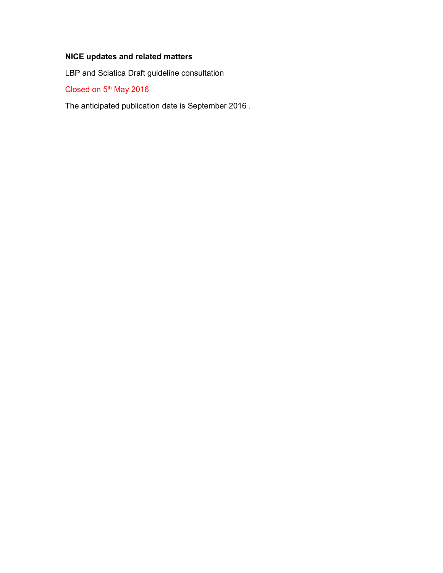# **NICE updates and related matters**

LBP and Sciatica Draft guideline consultation

Closed on 5<sup>th</sup> May 2016

The anticipated publication date is September 2016 .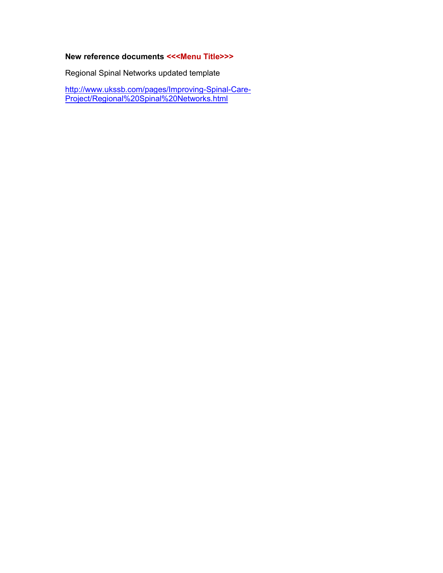# **New reference documents <<<Menu Title>>>**

Regional Spinal Networks updated template

[http://www.ukssb.com/pages/Improving-Spinal-Care-](http://www.ukssb.com/pages/Improving-Spinal-Care-Project/Regional%20Spinal%20Networks.html)[Project/Regional%20Spinal%20Networks.html](http://www.ukssb.com/pages/Improving-Spinal-Care-Project/Regional%20Spinal%20Networks.html)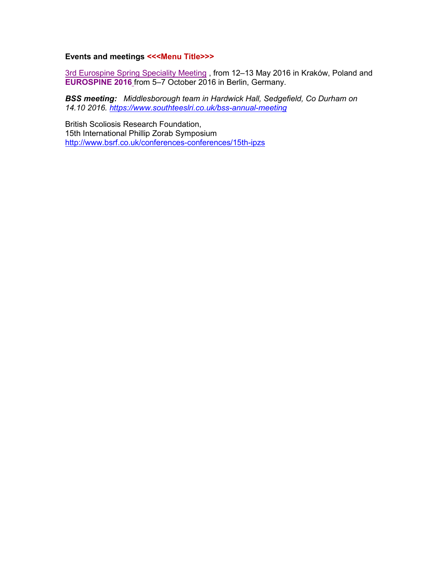## **Events and meetings <<<Menu Title>>>**

[3rd Eurospine Spring Speciality Meeting](http://newsletter.eurospine.org/c/22392407/b60e55082b-o5tqi2) , from 12–13 May 2016 in Kraków, Poland and **[EUROSPINE 2016](http://newsletter.eurospine.org/c/22392408/b60e55082b-o5tqi2)** from 5–7 October 2016 in Berlin, Germany.

*BSS meeting: Middlesborough team in Hardwick Hall, Sedgefield, Co Durham on 14.10 2016.<https://www.southteeslri.co.uk/bss-annual-meeting>*

British Scoliosis Research Foundation, 15th International Phillip Zorab Symposium <http://www.bsrf.co.uk/conferences-conferences/15th-ipzs>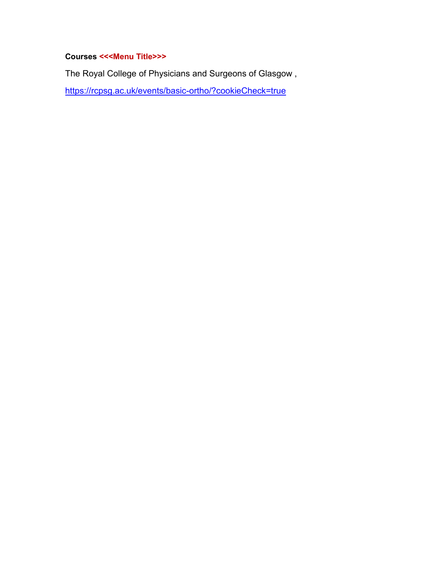# **Courses <<<Menu Title>>>**

The Royal College of Physicians and Surgeons of Glasgow ,

<https://rcpsg.ac.uk/events/basic-ortho/?cookieCheck=true>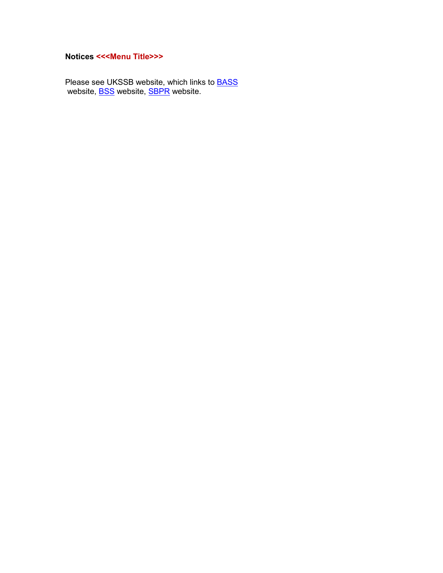# **Notices <<<Menu Title>>>**

Please see UKSSB website, which links to **[BASS](http://www.spinesurgeons.ac.uk/)** website, <u>BSS</u> website, <u>SBPR</u> website.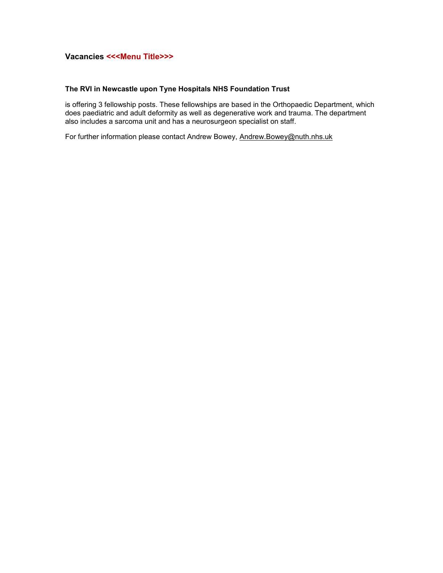## **Vacancies <<<Menu Title>>>**

#### **The RVI in Newcastle upon Tyne Hospitals NHS Foundation Trust**

is offering 3 fellowship posts. These fellowships are based in the Orthopaedic Department, which does paediatric and adult deformity as well as degenerative work and trauma. The department also includes a sarcoma unit and has a neurosurgeon specialist on staff.

For further information please contact Andrew Bowey, [Andrew.Bowey@nuth.nhs.uk](mailto:Andrew.Bowey@nuth.nhs.uk)